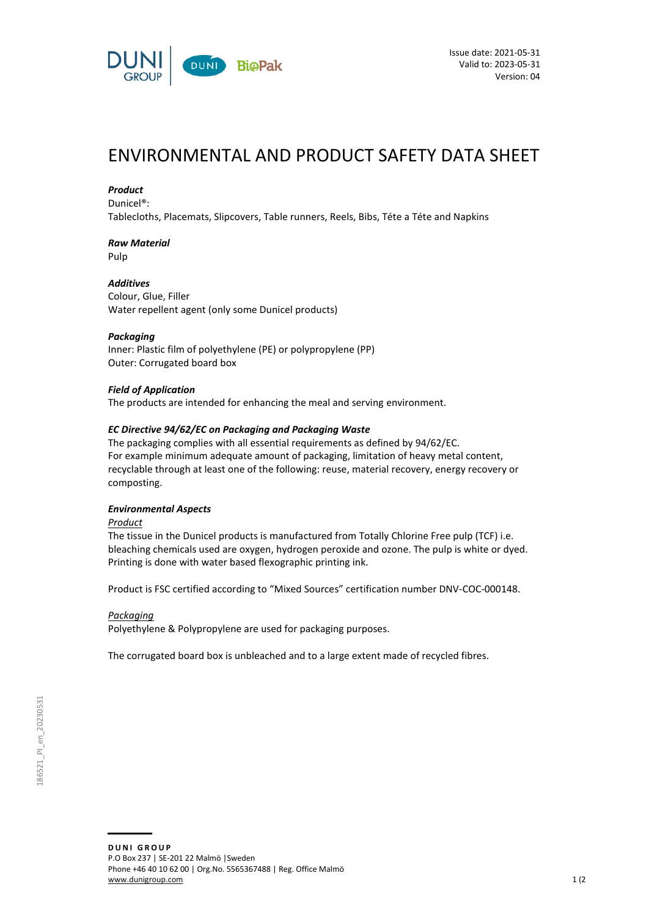

# ENVIRONMENTAL AND PRODUCT SAFETY DATA SHEET

### *Product*

Dunicel®:

Tablecloths, Placemats, Slipcovers, Table runners, Reels, Bibs, Téte a Téte and Napkins

# *Raw Material*

Pulp

## *Additives*

Colour, Glue, Filler Water repellent agent (only some Dunicel products)

### *Packaging*

Inner: Plastic film of polyethylene (PE) or polypropylene (PP) Outer: Corrugated board box

### *Field of Application*

The products are intended for enhancing the meal and serving environment.

### *EC Directive 94/62/EC on Packaging and Packaging Waste*

The packaging complies with all essential requirements as defined by 94/62/EC. For example minimum adequate amount of packaging, limitation of heavy metal content, recyclable through at least one of the following: reuse, material recovery, energy recovery or composting.

### *Environmental Aspects*

*Product*

The tissue in the Dunicel products is manufactured from Totally Chlorine Free pulp (TCF) i.e. bleaching chemicals used are oxygen, hydrogen peroxide and ozone. The pulp is white or dyed. Printing is done with water based flexographic printing ink.

Product is FSC certified according to "Mixed Sources" certification number DNV-COC-000148.

### *Packaging*

Polyethylene & Polypropylene are used for packaging purposes.

The corrugated board box is unbleached and to a large extent made of recycled fibres.